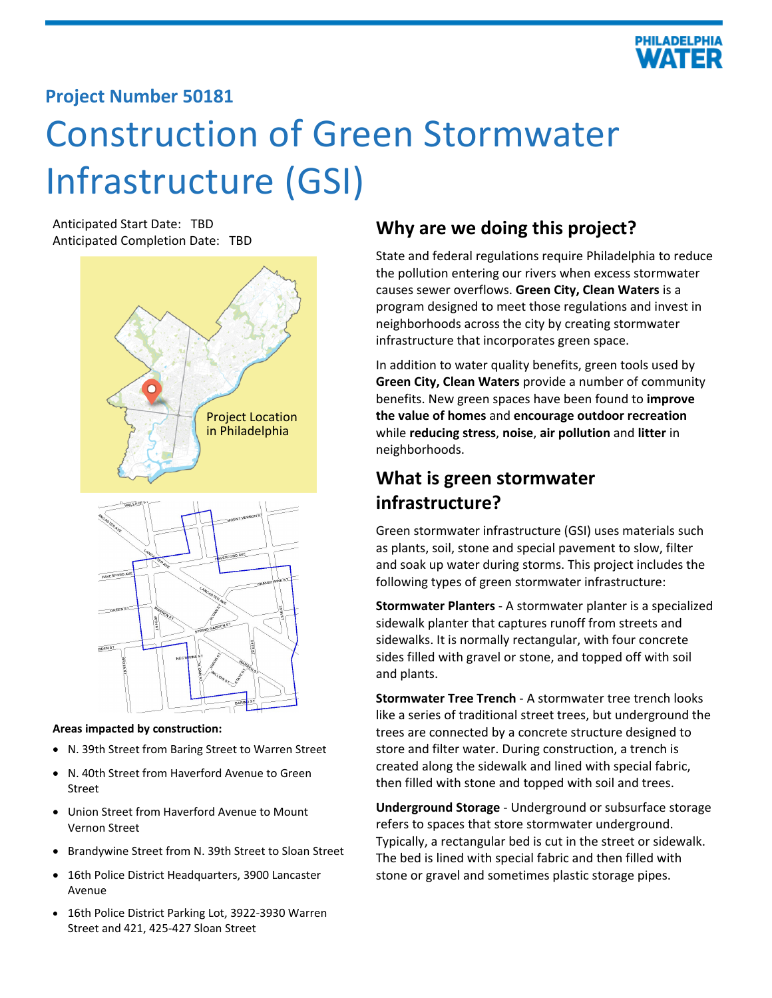

## **Project Number 50181**

# Construction of Green Stormwater Infrastructure (GSI)

Anticipated Start Date: TBD Anticipated Start Date: TBD<br>Anticipated Completion Date: TBD<br>**Why are we doing this project?** 



#### **Areas impacted by construction:**

- N. 39th Street from Baring Street to Warren Street
- N. 40th Street from Haverford Avenue to Green Street
- Union Street from Haverford Avenue to Mount Vernon Street
- Brandywine Street from N. 39th Street to Sloan Street
- 16th Police District Headquarters, 3900 Lancaster Avenue
- 16th Police District Parking Lot, 3922-3930 Warren Street and 421, 425-427 Sloan Street

State and federal regulations require Philadelphia to reduce the pollution entering our rivers when excess stormwater causes sewer overflows. **Green City, Clean Waters** is a program designed to meet those regulations and invest in neighborhoods across the city by creating stormwater infrastructure that incorporates green space.

In addition to water quality benefits, green tools used by **Green City, Clean Waters** provide a number of community benefits. New green spaces have been found to **improve the value of homes** and **encourage outdoor recreation** while **reducing stress**, **noise**, **air pollution** and **litter** in neighborhoods.

# **What is green stormwater infrastructure?**

Green stormwater infrastructure (GSI) uses materials such as plants, soil, stone and special pavement to slow, filter and soak up water during storms. This project includes the following types of green stormwater infrastructure:

**Stormwater Planters** - A stormwater planter is a specialized sidewalk planter that captures runoff from streets and sidewalks. It is normally rectangular, with four concrete sides filled with gravel or stone, and topped off with soil and plants.

**Stormwater Tree Trench** - A stormwater tree trench looks like a series of traditional street trees, but underground the trees are connected by a concrete structure designed to store and filter water. During construction, a trench is created along the sidewalk and lined with special fabric, then filled with stone and topped with soil and trees.

**Underground Storage** - Underground or subsurface storage refers to spaces that store stormwater underground. Typically, a rectangular bed is cut in the street or sidewalk. The bed is lined with special fabric and then filled with stone or gravel and sometimes plastic storage pipes.